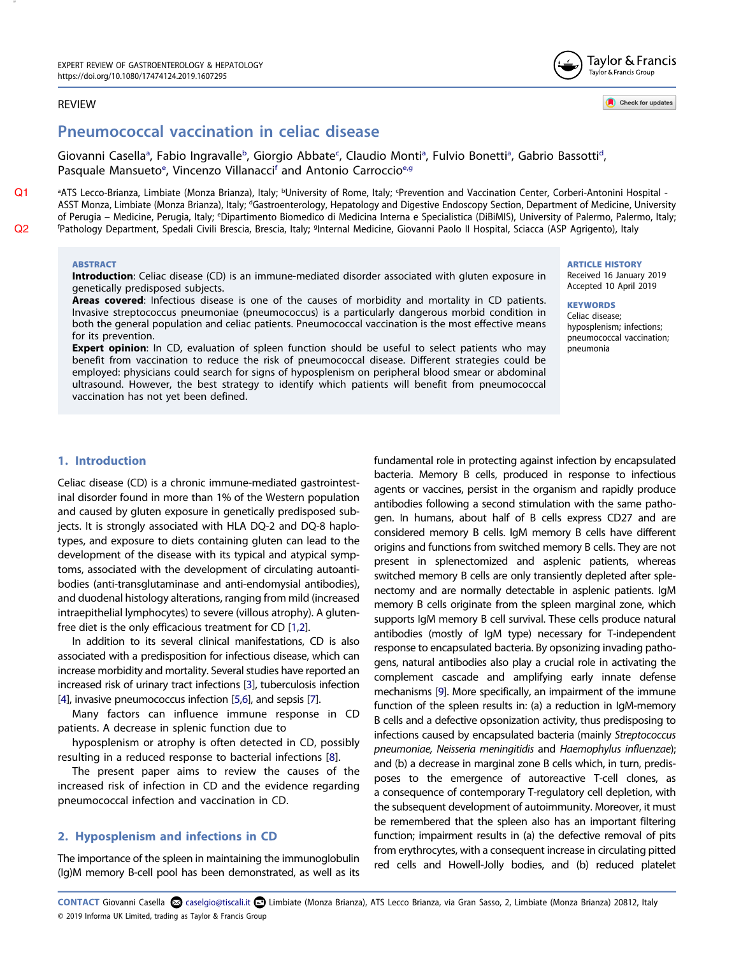#### REVIEW

Taylor & Francis Taylor & Francis Group

Check for updates

# **Pneumococcal vaccination in celiac disease**

<span id="page-0-0"></span>Giovanni Casella<sup>a</sup>, Fabio Ingravalle<sup>b</sup>, Giorgio Abbate<sup>[c](#page-0-0)</sup>, Clau[d](#page-0-1)io Monti<sup>a</sup>, Fulvio Bonetti<sup>a</sup>, Gabrio Bassotti<sup>d</sup>, Pasqual[e](#page-0-2) Mansueto<sup>e</sup>, Vincenzo Villanacci<sup>f</sup> and Antonio Carroccio<sup>e[,g](#page-0-3)</sup>

<span id="page-0-2"></span><span id="page-0-1"></span>Q1 <sup>a</sup>ATS Lecco-Brianza, Limbiate (Monza Brianza), Italy; <sup>b</sup>University of Rome, Italy; <sup>c</sup>Prevention and Vaccination Center, Corberi-Antonini Hospital -ASST Monza, Limbiate (Monza Brianza), Italy; <sup>d</sup>Gastroenterology, Hepatology and Digestive Endoscopy Section, Department of Medicine, University of Perugia – Medicine, Perugia, Italy; <sup>e</sup>Dipartimento Biomedico di Medicina Interna e Specialistica (DiBiMIS), University of Palermo, Palermo, Italy; Q2 <sup>f</sup>Pathology Department, Spedali Civili Brescia, Brescia, Italy; <sup>g</sup>Internal Medicine, Giovanni Paolo II Hospital, Sciacca (ASP Agrigento), Italy

#### <span id="page-0-3"></span>**ABSTRACT**

**Introduction**: Celiac disease (CD) is an immune-mediated disorder associated with gluten exposure in genetically predisposed subjects.

**Areas covered**: Infectious disease is one of the causes of morbidity and mortality in CD patients. Invasive streptococcus pneumoniae (pneumococcus) is a particularly dangerous morbid condition in both the general population and celiac patients. Pneumococcal vaccination is the most effective means for its prevention.

**Expert opinion**: In CD, evaluation of spleen function should be useful to select patients who may benefit from vaccination to reduce the risk of pneumococcal disease. Different strategies could be employed: physicians could search for signs of hyposplenism on peripheral blood smear or abdominal ultrasound. However, the best strategy to identify which patients will benefit from pneumococcal vaccination has not yet been defined.

**ARTICLE HISTORY**

Received 16 January 2019 Accepted 10 April 2019

**KEYWORDS** Celiac disease; hyposplenism; infections; pneumococcal vaccination; pneumonia

# **1. Introduction**

Celiac disease (CD) is a chronic immune-mediated gastrointestinal disorder found in more than 1% of the Western population and caused by gluten exposure in genetically predisposed subjects. It is strongly associated with HLA DQ-2 and DQ-8 haplotypes, and exposure to diets containing gluten can lead to the development of the disease with its typical and atypical symptoms, associated with the development of circulating autoantibodies (anti-transglutaminase and anti-endomysial antibodies), and duodenal histology alterations, ranging from mild (increased intraepithelial lymphocytes) to severe (villous atrophy). A glutenfree diet is the only efficacious treatment for CD [[1](#page-4-0)[,2](#page-4-1)].

<span id="page-0-4"></span>In addition to its several clinical manifestations, CD is also associated with a predisposition for infectious disease, which can increase morbidity and mortality. Several studies have reported an increased risk of urinary tract infections [[3](#page-4-2)], tuberculosis infection [[4](#page-4-3)], invasive pneumococcus infection [[5](#page-4-4)[,6\]](#page-4-5), and sepsis [\[7](#page-4-6)].

<span id="page-0-6"></span><span id="page-0-5"></span>Many factors can influence immune response in CD patients. A decrease in splenic function due to

<span id="page-0-7"></span>hyposplenism or atrophy is often detected in CD, possibly resulting in a reduced response to bacterial infections [\[8](#page-4-7)].

The present paper aims to review the causes of the increased risk of infection in CD and the evidence regarding pneumococcal infection and vaccination in CD.

# **2. Hyposplenism and infections in CD**

The importance of the spleen in maintaining the immunoglobulin (Ig)M memory B-cell pool has been demonstrated, as well as its <span id="page-0-8"></span>fundamental role in protecting against infection by encapsulated bacteria. Memory B cells, produced in response to infectious agents or vaccines, persist in the organism and rapidly produce antibodies following a second stimulation with the same pathogen. In humans, about half of B cells express CD27 and are considered memory B cells. IgM memory B cells have different origins and functions from switched memory B cells. They are not present in splenectomized and asplenic patients, whereas switched memory B cells are only transiently depleted after splenectomy and are normally detectable in asplenic patients. IgM memory B cells originate from the spleen marginal zone, which supports IgM memory B cell survival. These cells produce natural antibodies (mostly of IgM type) necessary for T-independent response to encapsulated bacteria. By opsonizing invading pathogens, natural antibodies also play a crucial role in activating the complement cascade and amplifying early innate defense mechanisms [[9\]](#page-4-8). More specifically, an impairment of the immune function of the spleen results in: (a) a reduction in IgM-memory B cells and a defective opsonization activity, thus predisposing to infections caused by encapsulated bacteria (mainly *Streptococcus pneumoniae, Neisseria meningitidis* and *Haemophylus influenzae*); and (b) a decrease in marginal zone B cells which, in turn, predisposes to the emergence of autoreactive T-cell clones, as a consequence of contemporary T-regulatory cell depletion, with the subsequent development of autoimmunity. Moreover, it must be remembered that the spleen also has an important filtering function; impairment results in (a) the defective removal of pits from erythrocytes, with a consequent increase in circulating pitted red cells and Howell-Jolly bodies, and (b) reduced platelet

CONTACT Giovanni Casella **Consegio@tiscali.it Conta**liente (Monza Brianza), ATS Lecco Brianza, via Gran Sasso, 2, Limbiate (Monza Brianza) 20812, Italy © 2019 Informa UK Limited, trading as Taylor & Francis Group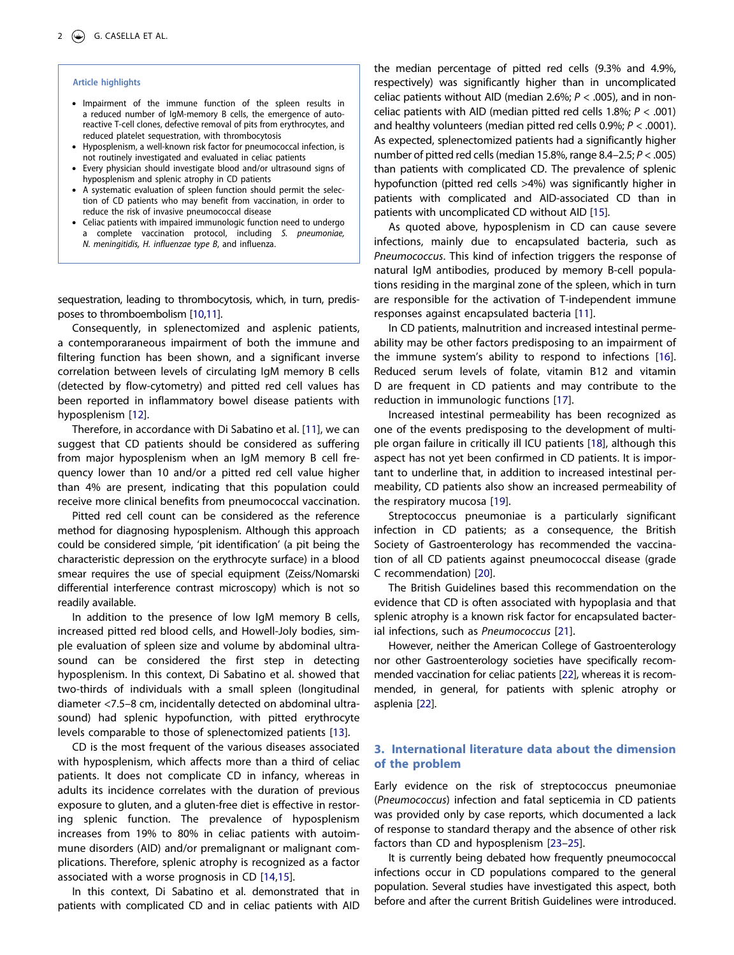#### **Article highlights**

- Impairment of the immune function of the spleen results in a reduced number of IgM-memory B cells, the emergence of autoreactive T-cell clones, defective removal of pits from erythrocytes, and reduced platelet sequestration, with thrombocytosis
- Hyposplenism, a well-known risk factor for pneumococcal infection, is not routinely investigated and evaluated in celiac patients
- Every physician should investigate blood and/or ultrasound signs of hyposplenism and splenic atrophy in CD patients
- A systematic evaluation of spleen function should permit the selection of CD patients who may benefit from vaccination, in order to reduce the risk of invasive pneumococcal disease
- Celiac patients with impaired immunologic function need to undergo a complete vaccination protocol, including *S. pneumoniae, N. meningitidis, H. influenzae type B*, and influenza.

<span id="page-1-0"></span>sequestration, leading to thrombocytosis, which, in turn, predisposes to thromboembolism [\[10](#page-4-9)[,11\]](#page-4-10).

Consequently, in splenectomized and asplenic patients, a contemporaraneous impairment of both the immune and filtering function has been shown, and a significant inverse correlation between levels of circulating IgM memory B cells (detected by flow-cytometry) and pitted red cell values has been reported in inflammatory bowel disease patients with hyposplenism [[12](#page-4-11)].

<span id="page-1-2"></span>Therefore, in accordance with Di Sabatino et al. [[11](#page-4-10)], we can suggest that CD patients should be considered as suffering from major hyposplenism when an IgM memory B cell frequency lower than 10 and/or a pitted red cell value higher than 4% are present, indicating that this population could receive more clinical benefits from pneumococcal vaccination.

Pitted red cell count can be considered as the reference method for diagnosing hyposplenism. Although this approach could be considered simple, 'pit identification' (a pit being the characteristic depression on the erythrocyte surface) in a blood smear requires the use of special equipment (Zeiss/Nomarski differential interference contrast microscopy) which is not so readily available.

In addition to the presence of low IgM memory B cells, increased pitted red blood cells, and Howell-Joly bodies, simple evaluation of spleen size and volume by abdominal ultrasound can be considered the first step in detecting hyposplenism. In this context, Di Sabatino et al. showed that two-thirds of individuals with a small spleen (longitudinal diameter <7.5–8 cm, incidentally detected on abdominal ultrasound) had splenic hypofunction, with pitted erythrocyte levels comparable to those of splenectomized patients [\[13](#page-4-12)].

<span id="page-1-3"></span>CD is the most frequent of the various diseases associated with hyposplenism, which affects more than a third of celiac patients. It does not complicate CD in infancy, whereas in adults its incidence correlates with the duration of previous exposure to gluten, and a gluten-free diet is effective in restoring splenic function. The prevalence of hyposplenism increases from 19% to 80% in celiac patients with autoimmune disorders (AID) and/or premalignant or malignant complications. Therefore, splenic atrophy is recognized as a factor associated with a worse prognosis in CD [[14,](#page-4-13)[15](#page-4-14)].

<span id="page-1-4"></span>In this context, Di Sabatino et al. demonstrated that in patients with complicated CD and in celiac patients with AID

the median percentage of pitted red cells (9.3% and 4.9%, respectively) was significantly higher than in uncomplicated celiac patients without AID (median 2.6%; *P <* .005), and in nonceliac patients with AID (median pitted red cells 1.8%; *P <* .001) and healthy volunteers (median pitted red cells 0.9%; *P <* .0001). As expected, splenectomized patients had a significantly higher number of pitted red cells(median 15.8%, range 8.4–2.5; *P <* .005) than patients with complicated CD. The prevalence of splenic hypofunction (pitted red cells >4%) was significantly higher in patients with complicated and AID-associated CD than in patients with uncomplicated CD without AID [\[15](#page-4-14)].

<span id="page-1-5"></span>As quoted above, hyposplenism in CD can cause severe infections, mainly due to encapsulated bacteria, such as *Pneumococcus*. This kind of infection triggers the response of natural IgM antibodies, produced by memory B-cell populations residing in the marginal zone of the spleen, which in turn are responsible for the activation of T-independent immune responses against encapsulated bacteria [\[11\]](#page-4-10).

<span id="page-1-6"></span><span id="page-1-1"></span>In CD patients, malnutrition and increased intestinal permeability may be other factors predisposing to an impairment of the immune system's ability to respond to infections [\[16\]](#page-4-15). Reduced serum levels of folate, vitamin B12 and vitamin D are frequent in CD patients and may contribute to the reduction in immunologic functions [\[17\]](#page-4-16).

<span id="page-1-8"></span><span id="page-1-7"></span>Increased intestinal permeability has been recognized as one of the events predisposing to the development of multiple organ failure in critically ill ICU patients [[18](#page-4-17)], although this aspect has not yet been confirmed in CD patients. It is important to underline that, in addition to increased intestinal permeability, CD patients also show an increased permeability of the respiratory mucosa [[19\]](#page-4-18).

<span id="page-1-9"></span>Streptococcus pneumoniae is a particularly significant infection in CD patients; as a consequence, the British Society of Gastroenterology has recommended the vaccination of all CD patients against pneumococcal disease (grade C recommendation) [[20\]](#page-4-19).

<span id="page-1-10"></span>The British Guidelines based this recommendation on the evidence that CD is often associated with hypoplasia and that splenic atrophy is a known risk factor for encapsulated bacterial infections, such as *Pneumococcus* [\[21](#page-4-20)].

<span id="page-1-12"></span><span id="page-1-11"></span>However, neither the American College of Gastroenterology nor other Gastroenterology societies have specifically recommended vaccination for celiac patients [[22](#page-4-21)], whereas it is recommended, in general, for patients with splenic atrophy or asplenia [[22](#page-4-21)].

# **3. International literature data about the dimension of the problem**

Early evidence on the risk of streptococcus pneumoniae (*Pneumococcus*) infection and fatal septicemia in CD patients was provided only by case reports, which documented a lack of response to standard therapy and the absence of other risk factors than CD and hyposplenism [[23](#page-4-22)[–25](#page-4-23)].

<span id="page-1-13"></span>It is currently being debated how frequently pneumococcal infections occur in CD populations compared to the general population. Several studies have investigated this aspect, both before and after the current British Guidelines were introduced.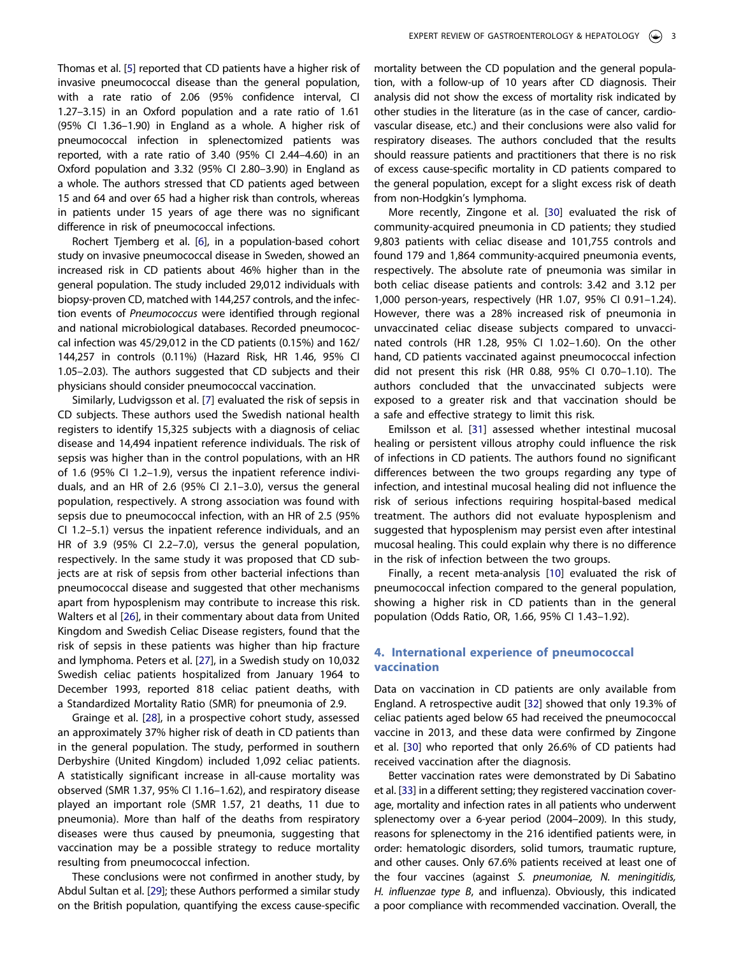Thomas et al. [\[5](#page-4-4)] reported that CD patients have a higher risk of invasive pneumococcal disease than the general population, with a rate ratio of 2.06 (95% confidence interval, CI 1.27–3.15) in an Oxford population and a rate ratio of 1.61 (95% CI 1.36–1.90) in England as a whole. A higher risk of pneumococcal infection in splenectomized patients was reported, with a rate ratio of 3.40 (95% CI 2.44–4.60) in an Oxford population and 3.32 (95% CI 2.80–3.90) in England as a whole. The authors stressed that CD patients aged between 15 and 64 and over 65 had a higher risk than controls, whereas in patients under 15 years of age there was no significant difference in risk of pneumococcal infections.

Rochert Tjemberg et al. [[6](#page-4-5)], in a population-based cohort study on invasive pneumococcal disease in Sweden, showed an increased risk in CD patients about 46% higher than in the general population. The study included 29,012 individuals with biopsy-proven CD, matched with 144,257 controls, and the infection events of *Pneumococcus* were identified through regional and national microbiological databases. Recorded pneumococcal infection was 45/29,012 in the CD patients (0.15%) and 162/ 144,257 in controls (0.11%) (Hazard Risk, HR 1.46, 95% CI 1.05–2.03). The authors suggested that CD subjects and their physicians should consider pneumococcal vaccination.

Similarly, Ludvigsson et al. [[7](#page-4-6)] evaluated the risk of sepsis in CD subjects. These authors used the Swedish national health registers to identify 15,325 subjects with a diagnosis of celiac disease and 14,494 inpatient reference individuals. The risk of sepsis was higher than in the control populations, with an HR of 1.6 (95% CI 1.2–1.9), versus the inpatient reference individuals, and an HR of 2.6 (95% CI 2.1–3.0), versus the general population, respectively. A strong association was found with sepsis due to pneumococcal infection, with an HR of 2.5 (95% CI 1.2–5.1) versus the inpatient reference individuals, and an HR of 3.9 (95% CI 2.2–7.0), versus the general population, respectively. In the same study it was proposed that CD subjects are at risk of sepsis from other bacterial infections than pneumococcal disease and suggested that other mechanisms apart from hyposplenism may contribute to increase this risk. Walters et al [[26](#page-4-24)], in their commentary about data from United Kingdom and Swedish Celiac Disease registers, found that the risk of sepsis in these patients was higher than hip fracture and lymphoma. Peters et al. [\[27\]](#page-4-25), in a Swedish study on 10,032 Swedish celiac patients hospitalized from January 1964 to December 1993, reported 818 celiac patient deaths, with a Standardized Mortality Ratio (SMR) for pneumonia of 2.9.

<span id="page-2-2"></span><span id="page-2-1"></span><span id="page-2-0"></span>Grainge et al. [[28\]](#page-4-26), in a prospective cohort study, assessed an approximately 37% higher risk of death in CD patients than in the general population. The study, performed in southern Derbyshire (United Kingdom) included 1,092 celiac patients. A statistically significant increase in all-cause mortality was observed (SMR 1.37, 95% CI 1.16–1.62), and respiratory disease played an important role (SMR 1.57, 21 deaths, 11 due to pneumonia). More than half of the deaths from respiratory diseases were thus caused by pneumonia, suggesting that vaccination may be a possible strategy to reduce mortality resulting from pneumococcal infection.

<span id="page-2-3"></span>These conclusions were not confirmed in another study, by Abdul Sultan et al. [[29](#page-5-0)]; these Authors performed a similar study on the British population, quantifying the excess cause-specific mortality between the CD population and the general population, with a follow-up of 10 years after CD diagnosis. Their analysis did not show the excess of mortality risk indicated by other studies in the literature (as in the case of cancer, cardiovascular disease, etc.) and their conclusions were also valid for respiratory diseases. The authors concluded that the results should reassure patients and practitioners that there is no risk of excess cause-specific mortality in CD patients compared to the general population, except for a slight excess risk of death from non-Hodgkin's lymphoma.

More recently, Zingone et al. [\[30\]](#page-5-1) evaluated the risk of community-acquired pneumonia in CD patients; they studied 9,803 patients with celiac disease and 101,755 controls and found 179 and 1,864 community-acquired pneumonia events, respectively. The absolute rate of pneumonia was similar in both celiac disease patients and controls: 3.42 and 3.12 per 1,000 person-years, respectively (HR 1.07, 95% CI 0.91–1.24). However, there was a 28% increased risk of pneumonia in unvaccinated celiac disease subjects compared to unvaccinated controls (HR 1.28, 95% CI 1.02–1.60). On the other hand, CD patients vaccinated against pneumococcal infection did not present this risk (HR 0.88, 95% CI 0.70–1.10). The authors concluded that the unvaccinated subjects were exposed to a greater risk and that vaccination should be a safe and effective strategy to limit this risk.

<span id="page-2-5"></span>Emilsson et al. [[31\]](#page-5-2) assessed whether intestinal mucosal healing or persistent villous atrophy could influence the risk of infections in CD patients. The authors found no significant differences between the two groups regarding any type of infection, and intestinal mucosal healing did not influence the risk of serious infections requiring hospital-based medical treatment. The authors did not evaluate hyposplenism and suggested that hyposplenism may persist even after intestinal mucosal healing. This could explain why there is no difference in the risk of infection between the two groups.

Finally, a recent meta-analysis [\[10\]](#page-4-9) evaluated the risk of pneumococcal infection compared to the general population, showing a higher risk in CD patients than in the general population (Odds Ratio, OR, 1.66, 95% CI 1.43–1.92).

# **4. International experience of pneumococcal vaccination**

<span id="page-2-6"></span>Data on vaccination in CD patients are only available from England. A retrospective audit [[32\]](#page-5-3) showed that only 19.3% of celiac patients aged below 65 had received the pneumococcal vaccine in 2013, and these data were confirmed by Zingone et al. [[30](#page-5-1)] who reported that only 26.6% of CD patients had received vaccination after the diagnosis.

<span id="page-2-7"></span><span id="page-2-4"></span>Better vaccination rates were demonstrated by Di Sabatino et al. [[33](#page-5-4)] in a different setting; they registered vaccination coverage, mortality and infection rates in all patients who underwent splenectomy over a 6-year period (2004–2009). In this study, reasons for splenectomy in the 216 identified patients were, in order: hematologic disorders, solid tumors, traumatic rupture, and other causes. Only 67.6% patients received at least one of the four vaccines (against *S. pneumoniae, N. meningitidis, H. influenzae type B*, and influenza). Obviously, this indicated a poor compliance with recommended vaccination. Overall, the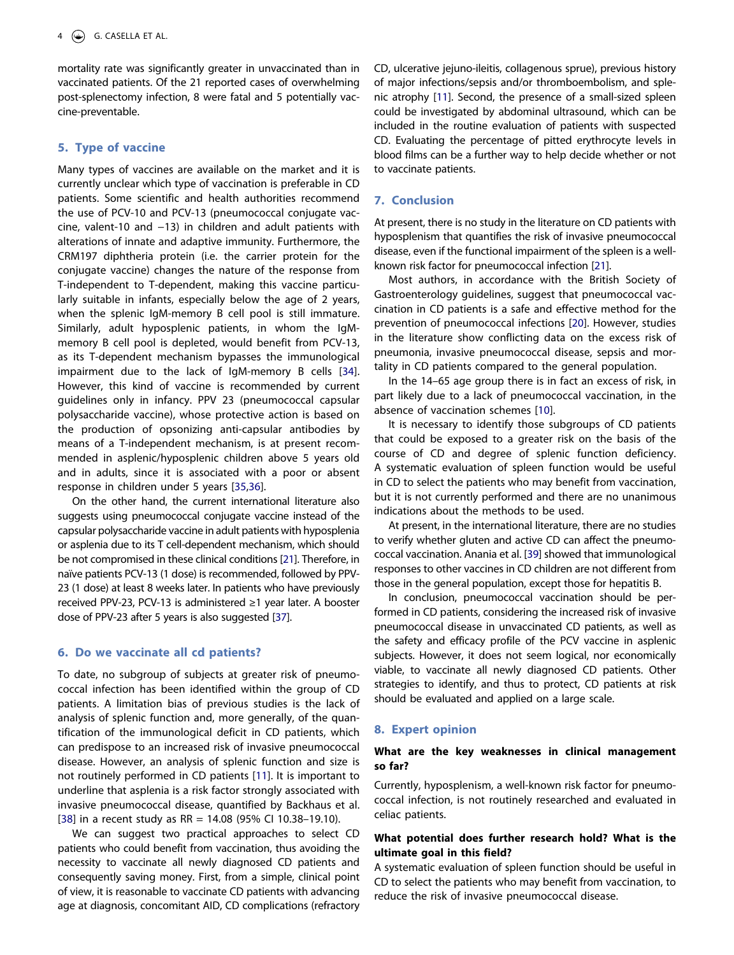mortality rate was significantly greater in unvaccinated than in vaccinated patients. Of the 21 reported cases of overwhelming post-splenectomy infection, 8 were fatal and 5 potentially vaccine-preventable.

# **5. Type of vaccine**

Many types of vaccines are available on the market and it is currently unclear which type of vaccination is preferable in CD patients. Some scientific and health authorities recommend the use of PCV-10 and PCV-13 (pneumococcal conjugate vaccine, valent-10 and −13) in children and adult patients with alterations of innate and adaptive immunity. Furthermore, the CRM197 diphtheria protein (i.e. the carrier protein for the conjugate vaccine) changes the nature of the response from T-independent to T-dependent, making this vaccine particularly suitable in infants, especially below the age of 2 years, when the splenic IgM-memory B cell pool is still immature. Similarly, adult hyposplenic patients, in whom the IgMmemory B cell pool is depleted, would benefit from PCV-13, as its T-dependent mechanism bypasses the immunological impairment due to the lack of IgM-memory B cells [\[34](#page-5-5)]. However, this kind of vaccine is recommended by current guidelines only in infancy. PPV 23 (pneumococcal capsular polysaccharide vaccine), whose protective action is based on the production of opsonizing anti-capsular antibodies by means of a T-independent mechanism, is at present recommended in asplenic/hyposplenic children above 5 years old and in adults, since it is associated with a poor or absent response in children under 5 years [[35,](#page-5-6)[36](#page-5-7)].

<span id="page-3-1"></span><span id="page-3-0"></span>On the other hand, the current international literature also suggests using pneumococcal conjugate vaccine instead of the capsular polysaccharide vaccine in adult patients with hyposplenia or asplenia due to its T cell-dependent mechanism, which should be not compromised in these clinical conditions [\[21](#page-4-20)]. Therefore, in naïve patients PCV-13 (1 dose) is recommended, followed by PPV-23 (1 dose) at least 8 weeks later. In patients who have previously received PPV-23, PCV-13 is administered ≥1 year later. A booster dose of PPV-23 after 5 years is also suggested [[37](#page-5-8)].

#### <span id="page-3-2"></span>**6. Do we vaccinate all cd patients?**

To date, no subgroup of subjects at greater risk of pneumococcal infection has been identified within the group of CD patients. A limitation bias of previous studies is the lack of analysis of splenic function and, more generally, of the quantification of the immunological deficit in CD patients, which can predispose to an increased risk of invasive pneumococcal disease. However, an analysis of splenic function and size is not routinely performed in CD patients [\[11](#page-4-10)]. It is important to underline that asplenia is a risk factor strongly associated with invasive pneumococcal disease, quantified by Backhaus et al. [[38](#page-5-9)] in a recent study as RR = 14.08 (95% CI 10.38–19.10).

<span id="page-3-3"></span>We can suggest two practical approaches to select CD patients who could benefit from vaccination, thus avoiding the necessity to vaccinate all newly diagnosed CD patients and consequently saving money. First, from a simple, clinical point of view, it is reasonable to vaccinate CD patients with advancing age at diagnosis, concomitant AID, CD complications (refractory CD, ulcerative jejuno-ileitis, collagenous sprue), previous history of major infections/sepsis and/or thromboembolism, and splenic atrophy [\[11](#page-4-10)]. Second, the presence of a small-sized spleen could be investigated by abdominal ultrasound, which can be included in the routine evaluation of patients with suspected CD. Evaluating the percentage of pitted erythrocyte levels in blood films can be a further way to help decide whether or not to vaccinate patients.

#### **7. Conclusion**

At present, there is no study in the literature on CD patients with hyposplenism that quantifies the risk of invasive pneumococcal disease, even if the functional impairment of the spleen is a wellknown risk factor for pneumococcal infection [[21](#page-4-20)].

Most authors, in accordance with the British Society of Gastroenterology guidelines, suggest that pneumococcal vaccination in CD patients is a safe and effective method for the prevention of pneumococcal infections [\[20\]](#page-4-19). However, studies in the literature show conflicting data on the excess risk of pneumonia, invasive pneumococcal disease, sepsis and mortality in CD patients compared to the general population.

In the 14–65 age group there is in fact an excess of risk, in part likely due to a lack of pneumococcal vaccination, in the absence of vaccination schemes [[10\]](#page-4-9).

It is necessary to identify those subgroups of CD patients that could be exposed to a greater risk on the basis of the course of CD and degree of splenic function deficiency. A systematic evaluation of spleen function would be useful in CD to select the patients who may benefit from vaccination, but it is not currently performed and there are no unanimous indications about the methods to be used.

<span id="page-3-4"></span>At present, in the international literature, there are no studies to verify whether gluten and active CD can affect the pneumococcal vaccination. Anania et al. [[39](#page-5-10)] showed that immunological responses to other vaccines in CD children are not different from those in the general population, except those for hepatitis B.

In conclusion, pneumococcal vaccination should be performed in CD patients, considering the increased risk of invasive pneumococcal disease in unvaccinated CD patients, as well as the safety and efficacy profile of the PCV vaccine in asplenic subjects. However, it does not seem logical, nor economically viable, to vaccinate all newly diagnosed CD patients. Other strategies to identify, and thus to protect, CD patients at risk should be evaluated and applied on a large scale.

### **8. Expert opinion**

# **What are the key weaknesses in clinical management so far?**

Currently, hyposplenism, a well-known risk factor for pneumococcal infection, is not routinely researched and evaluated in celiac patients.

# **What potential does further research hold? What is the ultimate goal in this field?**

A systematic evaluation of spleen function should be useful in CD to select the patients who may benefit from vaccination, to reduce the risk of invasive pneumococcal disease.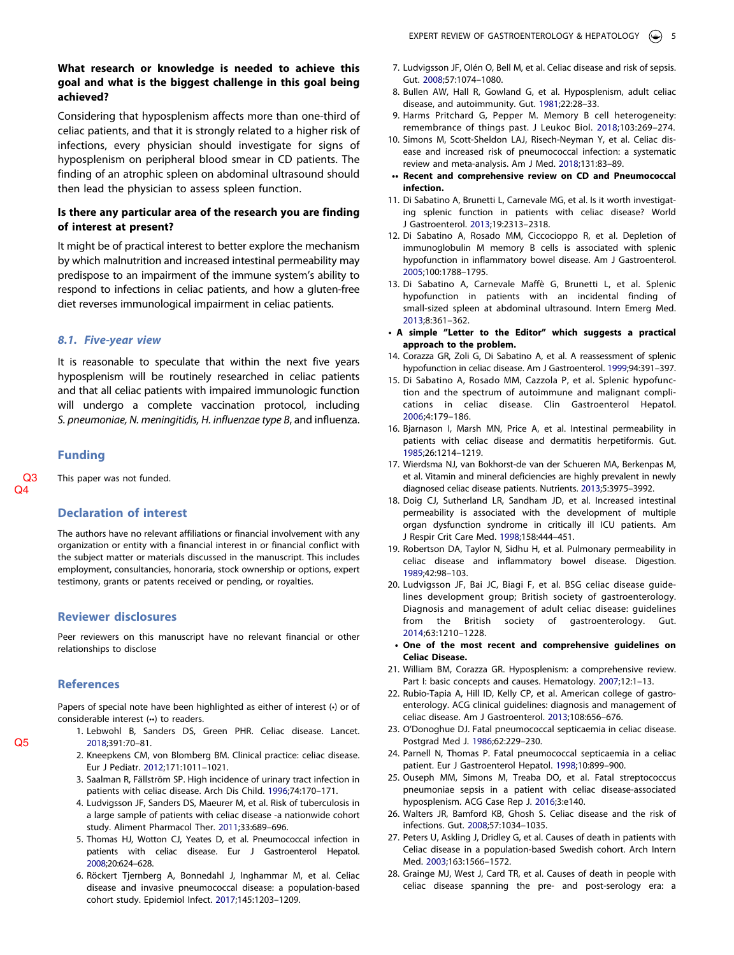# **What research or knowledge is needed to achieve this goal and what is the biggest challenge in this goal being achieved?**

Considering that hyposplenism affects more than one-third of celiac patients, and that it is strongly related to a higher risk of infections, every physician should investigate for signs of hyposplenism on peripheral blood smear in CD patients. The finding of an atrophic spleen on abdominal ultrasound should then lead the physician to assess spleen function.

# **Is there any particular area of the research you are finding of interest at present?**

It might be of practical interest to better explore the mechanism by which malnutrition and increased intestinal permeability may predispose to an impairment of the immune system's ability to respond to infections in celiac patients, and how a gluten-free diet reverses immunological impairment in celiac patients.

#### *8.1. Five-year view*

It is reasonable to speculate that within the next five years hyposplenism will be routinely researched in celiac patients and that all celiac patients with impaired immunologic function will undergo a complete vaccination protocol, including *S. pneumoniae, N. meningitidis, H. influenzae type B*, and influenza.

#### **Funding**

Q3 This paper was not funded.

### **Declaration of interest**

�The authors have no relevant affiliations or financial involvement with any organization or entity with a financial interest in or financial conflict with the subject matter or materials discussed in the manuscript. This includes employment, consultancies, honoraria, stock ownership or options, expert testimony, grants or patents received or pending, or royalties.

#### **Reviewer disclosures**

Peer reviewers on this manuscript have no relevant financial or other relationships to disclose

#### **References**

<span id="page-4-1"></span><span id="page-4-0"></span>Papers of special note have been highlighted as either of interest (•) or of considerable interest (••) to readers.

- <span id="page-4-5"></span><span id="page-4-4"></span><span id="page-4-3"></span><span id="page-4-2"></span>1. Lebwohl B, Sanders DS, Green PHR. Celiac disease. Lancet. Q5 [2018](#page-0-4):391:70-81.
	- 2. Kneepkens CM, von Blomberg BM. Clinical practice: celiac disease. Eur J Pediatr. [2012;](#page-0-4)171:1011–1021.
	- 3. Saalman R, Fällström SP. High incidence of urinary tract infection in patients with celiac disease. Arch Dis Child. [1996;](#page-0-5)74:170–171.
	- 4. Ludvigsson JF, Sanders DS, Maeurer M, et al. Risk of tuberculosis in a large sample of patients with celiac disease -a nationwide cohort study. Aliment Pharmacol Ther. [2011;](#page-0-6)33:689–696.
	- 5. Thomas HJ, Wotton CJ, Yeates D, et al. Pneumococcal infection in patients with celiac disease. Eur J Gastroenterol Hepatol. [2008;](#page-0-6)20:624–628.
	- 6. Röckert Tjernberg A, Bonnedahl J, Inghammar M, et al. Celiac disease and invasive pneumococcal disease: a population-based cohort study. Epidemiol Infect. [2017](#page-0-6);145:1203–1209.
- <span id="page-4-6"></span>7. Ludvigsson JF, Olén O, Bell M, et al. Celiac disease and risk of sepsis. Gut. [2008;](#page-0-6)57:1074–1080.
- <span id="page-4-7"></span>8. Bullen AW, Hall R, Gowland G, et al. Hyposplenism, adult celiac disease, and autoimmunity. Gut. [1981;](#page-0-7)22:28–33.
- <span id="page-4-8"></span>9. Harms Pritchard G, Pepper M. Memory B cell heterogeneity: remembrance of things past. J Leukoc Biol. [2018;](#page-0-8)103:269–274.
- <span id="page-4-9"></span>10. Simons M, Scott-Sheldon LAJ, Risech-Neyman Y, et al. Celiac disease and increased risk of pneumococcal infection: a systematic review and meta-analysis. Am J Med. [2018](#page-1-0);131:83–89.
- **•• Recent and comprehensive review on CD and Pneumococcal infection.**
- <span id="page-4-10"></span>11. Di Sabatino A, Brunetti L, Carnevale MG, et al. Is it worth investigating splenic function in patients with celiac disease? World J Gastroenterol. [2013;](#page-1-1)19:2313–2318.
- <span id="page-4-11"></span>12. Di Sabatino A, Rosado MM, Ciccocioppo R, et al. Depletion of immunoglobulin M memory B cells is associated with splenic hypofunction in inflammatory bowel disease. Am J Gastroenterol. [2005](#page-1-2);100:1788–1795.
- <span id="page-4-12"></span>13. Di Sabatino A, Carnevale Maffè G, Brunetti L, et al. Splenic hypofunction in patients with an incidental finding of small-sized spleen at abdominal ultrasound. Intern Emerg Med. [2013](#page-1-3);8:361–362.
- **• A simple "Letter to the Editor" which suggests a practical approach to the problem.**
- <span id="page-4-13"></span>14. Corazza GR, Zoli G, Di Sabatino A, et al. A reassessment of splenic hypofunction in celiac disease. Am J Gastroenterol. [1999](#page-1-4);94:391–397.
- <span id="page-4-14"></span>15. Di Sabatino A, Rosado MM, Cazzola P, et al. Splenic hypofunction and the spectrum of autoimmune and malignant complications in celiac disease. Clin Gastroenterol Hepatol. [2006;](#page-1-5)4:179–186.
- <span id="page-4-15"></span>16. Bjarnason I, Marsh MN, Price A, et al. Intestinal permeability in patients with celiac disease and dermatitis herpetiformis. Gut. [1985](#page-1-6);26:1214–1219.
- <span id="page-4-16"></span>17. Wierdsma NJ, van Bokhorst-de van der Schueren MA, Berkenpas M, et al. Vitamin and mineral deficiencies are highly prevalent in newly diagnosed celiac disease patients. Nutrients. [2013;](#page-1-7)5:3975–3992.
- <span id="page-4-17"></span>18. Doig CJ, Sutherland LR, Sandham JD, et al. Increased intestinal permeability is associated with the development of multiple organ dysfunction syndrome in critically ill ICU patients. Am J Respir Crit Care Med. [1998](#page-1-8);158:444–451.
- <span id="page-4-18"></span>19. Robertson DA, Taylor N, Sidhu H, et al. Pulmonary permeability in celiac disease and inflammatory bowel disease. Digestion. [1989](#page-1-9);42:98–103.
- <span id="page-4-19"></span>20. Ludvigsson JF, Bai JC, Biagi F, et al. BSG celiac disease guidelines development group; British society of gastroenterology. Diagnosis and management of adult celiac disease: guidelines from the British society of gastroenterology. Gut. [2014;](#page-1-10)63:1210–1228.
- **• One of the most recent and comprehensive guidelines on Celiac Disease.**
- <span id="page-4-20"></span>21. William BM, Corazza GR. Hyposplenism: a comprehensive review. Part I: basic concepts and causes. Hematology. [2007;](#page-1-11)12:1-13.
- <span id="page-4-21"></span>22. Rubio-Tapia A, Hill ID, Kelly CP, et al. American college of gastroenterology. ACG clinical guidelines: diagnosis and management of celiac disease. Am J Gastroenterol. [2013](#page-1-12);108:656–676.
- <span id="page-4-22"></span>23. O'Donoghue DJ. Fatal pneumococcal septicaemia in celiac disease. Postgrad Med J. [1986;](#page-1-13)62:229–230.
- 24. Parnell N, Thomas P. Fatal pneumococcal septicaemia in a celiac patient. Eur J Gastroenterol Hepatol. 1998;10:899–900.
- <span id="page-4-23"></span>25. Ouseph MM, Simons M, Treaba DO, et al. Fatal streptococcus pneumoniae sepsis in a patient with celiac disease-associated hyposplenism. ACG Case Rep J. [2016;](#page-1-13)3:e140.
- <span id="page-4-24"></span>26. Walters JR, Bamford KB, Ghosh S. Celiac disease and the risk of infections. Gut. [2008;](#page-2-0)57:1034–1035.
- <span id="page-4-25"></span>27. Peters U, Askling J, Dridley G, et al. Causes of death in patients with Celiac disease in a population-based Swedish cohort. Arch Intern Med. [2003](#page-2-1);163:1566–1572.
- <span id="page-4-26"></span>28. Grainge MJ, West J, Card TR, et al. Causes of death in people with celiac disease spanning the pre- and post-serology era: a

 $\Omega$ 4